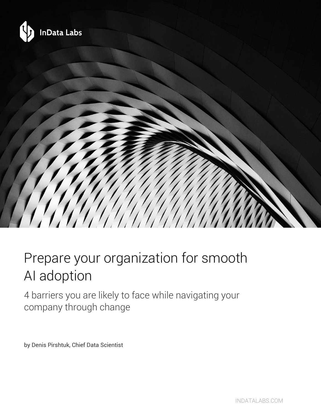

# Prepare your organization for smooth AI adoption

4 barriers you are likely to face while navigating your company through change

by Denis Pirshtuk, Chief Data Scientist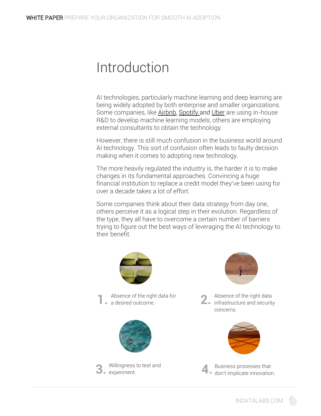#### Introduction

AI technologies, particularly machine learning and deep learning are being widely adopted by both enterprise and smaller organizations. Some companies, like [Airbnb,](https://www.airbnb.com/) [Spotify a](https://www.spotify.com/)nd [Uber](https://www.uber.com/) are using in-house R&D to develop machine learning models, others are employing external consultants to obtain the technology.

However, there is still much confusion in the business world around AI technology. This sort of confusion often leads to faulty decision making when it comes to adopting new technology.

The more heavily regulated the industry is, the harder it is to make changes in its fundamental approaches. Convincing a huge financial institution to replace a credit model they've been using for over a decade takes a lot of effort.

Some companies think about their data strategy from day one, others perceive it as a logical step in their evolution. Regardless of the type, they all have to overcome a certain number of barriers trying to figure out the best ways of leveraging the AI technology to their benefit.



Absence of the right data for<br> **1. a** desired outcome. a desired outcome.







Absence of the right data  $\overline{\phantom{a}}$  = infrastructure and security concerns.



Business processes that don't implicate innovation.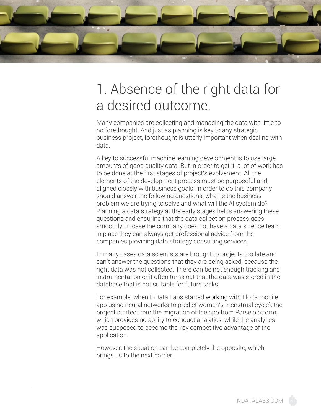

# 1. Absence of the right data for a desired outcome.

Many companies are collecting and managing the data with little to no forethought. And just as planning is key to any strategic business project, forethought is utterly important when dealing with data.

A key to successful machine learning development is to use large amounts of good quality data. But in order to get it, a lot of work has to be done at the first stages of project's evolvement. All the elements of the development process must be purposeful and aligned closely with business goals. In order to do this company should answer the following questions: what is the business problem we are trying to solve and what will the AI system do? Planning a data strategy at the early stages helps answering these questions and ensuring that the data collection process goes smoothly. In case the company does not have a data science team in place they can always get professional advice from the companies providing [data strategy consulting services.](https://indatalabs.com/services/data-strategy-consulting)

In many cases data scientists are brought to projects too late and can't answer the questions that they are being asked, because the right data was not collected. There can be not enough tracking and instrumentation or it often turns out that the data was stored in the database that is not suitable for future tasks.

For example, when InData Labs started [working with Flo](https://siliconangle.com/blog/2016/11/11/analytics-help-app-developer-conceive-of-new-possibilities/) (a mobile app using neural networks to predict women's menstrual cycle), the project started from the migration of the app from Parse platform, which provides no ability to conduct analytics, while the analytics was supposed to become the key competitive advantage of the application.

However, the situation can be completely the opposite, which brings us to the next barrier.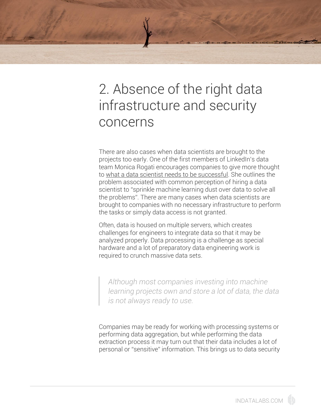# 2. Absence of the right data infrastructure and security concerns

There are also cases when data scientists are brought to the projects too early. One of the first members of LinkedIn's data team Monica Rogati encourages companies to give more thought to [what a data scientist needs to be successful.](https://soundcloud.com/the-growth-show/the-myth-of-machine-learning) She outlines the problem associated with common perception of hiring a data scientist to "sprinkle machine learning dust over data to solve all the problems". There are many cases when data scientists are brought to companies with no necessary infrastructure to perform the tasks or simply data access is not granted.

Often, data is housed on multiple servers, which creates challenges for engineers to integrate data so that it may be analyzed properly. Data processing is a challenge as special hardware and a lot of preparatory data engineering work is required to crunch massive data sets.

*Although most companies investing into machine learning projects own and store a lot of data, the data is not always ready to use.*

Companies may be ready for working with processing systems or performing data aggregation, but while performing the data extraction process it may turn out that their data includes a lot of personal or "sensitive" information. This brings us to data security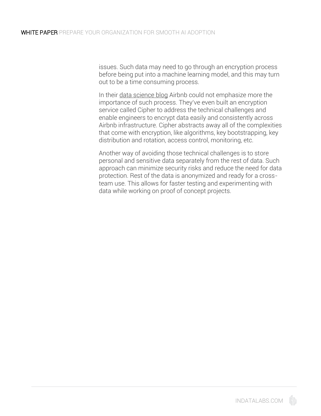issues. Such data may need to go through an encryption process before being put into a machine learning model, and this may turn out to be a time consuming process.

In their [data science blog](https://medium.com/airbnb-engineering/one-step-forward-in-data-protection-8071e2258d16) Airbnb could not emphasize more the importance of such process. They've even built an encryption service called Cipher to address the technical challenges and enable engineers to encrypt data easily and consistently across Airbnb infrastructure. Cipher abstracts away all of the complexities that come with encryption, like algorithms, key bootstrapping, key distribution and rotation, access control, monitoring, etc.

Another way of avoiding those technical challenges is to store personal and sensitive data separately from the rest of data. Such approach can minimize security risks and reduce the need for data protection. Rest of the data is anonymized and ready for a crossteam use. This allows for faster testing and experimenting with data while working on proof of concept projects.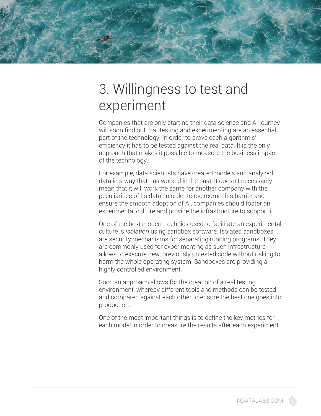

### 3. Willingness to test and experiment

Companies that are only starting their data science and AI journey will soon find out that testing and experimenting are an essential part of the technology. In order to prove each algorithm's' efficiency it has to be tested against the real data. It is the only approach that makes it possible to measure the business impact of the technology.

For example, data scientists have created models and analyzed data in a way that has worked in the past, it doesn't necessarily mean that it will work the same for another company with the peculiarities of its data. In order to overcome this barrier and ensure the smooth adoption of AI, companies should foster an experimental culture and provide the infrastructure to support it.

One of the best modern technics used to facilitate an experimental culture is *isolation* using sandbox software. [Isolated sandboxes](https://en.wikipedia.org/wiki/Sandbox_(computer_security)) are security mechanisms for separating running programs. They are commonly used for experimenting as such infrastructure allows to execute new, previously untested code without risking to harm the whole operating system. Sandboxes are providing a highly controlled environment.

Such an approach allows for the creation of a real testing environment, whereby different tools and methods can be tested and compared against each other to ensure the best one goes into production.

One of the most important things is to define the key metrics for each model in order to measure the results after each experiment.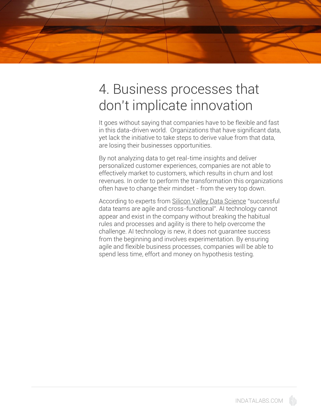

# 4. Business processes that don't implicate innovation

It goes without saying that companies have to be flexible and fast in this data-driven world. Organizations that have significant data, yet lack the initiative to take steps to derive value from that data, are losing their businesses opportunities.

By not analyzing data to get real-time insights and deliver personalized customer experiences, companies are not able to effectively market to customers, which results in churn and lost revenues. In order to perform the transformation this organizations often have to change their mindset - from the very top down.

According to experts from [Silicon Valley Data Science](https://svds.com/tbt-successful-data-teams-are-agile-and-cross-functional/) "successful data teams are agile and cross-functional". AI technology cannot appear and exist in the company without breaking the habitual rules and processes and agility is there to help overcome the challenge. AI technology is new, it does not guarantee success from the beginning and involves experimentation. By ensuring agile and flexible business processes, companies will be able to spend less time, effort and money on hypothesis testing.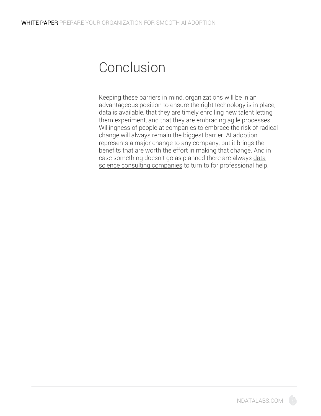#### Conclusion

Keeping these barriers in mind, organizations will be in an advantageous position to ensure the right technology is in place, data is available, that they are timely enrolling new talent letting them experiment, and that they are embracing agile processes. Willingness of people at companies to embrace the risk of radical change will always remain the biggest barrier. AI adoption represents a major change to any company, but it brings the benefits that are worth the effort in making that change. And in case something doesn't go as planned there are always data [science consulting companies](https://indatalabs.com/services/data-science) to turn to for professional help.